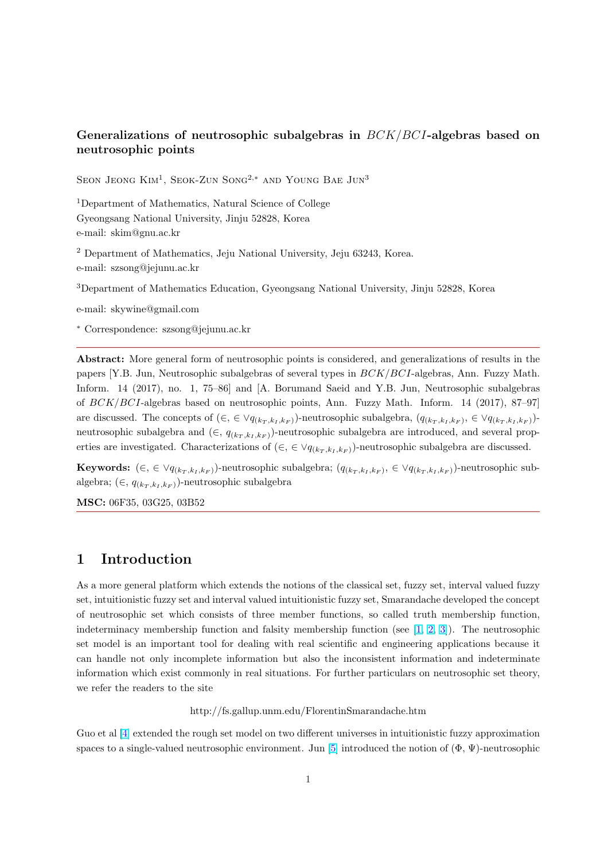### Generalizations of neutrosophic subalgebras in  $BCK/BCI$ -algebras based on neutrosophic points

SEON JEONG  $\mathrm{Km^1}$ , SEOK-ZUN SONG<sup>2,\*</sup> AND YOUNG BAE JUN<sup>3</sup>

<sup>1</sup>Department of Mathematics, Natural Science of College Gyeongsang National University, Jinju 52828, Korea e-mail: skim@gnu.ac.kr

<sup>2</sup> Department of Mathematics, Jeju National University, Jeju 63243, Korea. e-mail: szsong@jejunu.ac.kr

<sup>3</sup>Department of Mathematics Education, Gyeongsang National University, Jinju 52828, Korea

e-mail: skywine@gmail.com

<sup>∗</sup> Correspondence: szsong@jejunu.ac.kr

Abstract: More general form of neutrosophic points is considered, and generalizations of results in the papers [Y.B. Jun, Neutrosophic subalgebras of several types in BCK/BCI-algebras, Ann. Fuzzy Math. Inform. 14 (2017), no. 1, 75–86] and [A. Borumand Saeid and Y.B. Jun, Neutrosophic subalgebras of BCK/BCI-algebras based on neutrosophic points, Ann. Fuzzy Math. Inform. 14 (2017), 87–97] are discussed. The concepts of  $(\in, \in \vee q_{(k_T, k_I, k_F)})$ -neutrosophic subalgebra,  $(q_{(k_T, k_I, k_F)}, \in \vee q_{(k_T, k_I, k_F)})$ neutrosophic subalgebra and  $(\in, q_{(k_T, k_I, k_F)})$ -neutrosophic subalgebra are introduced, and several properties are investigated. Characterizations of  $(\in, \in \forall q_{(k_T, k_I, k_F)})$ -neutrosophic subalgebra are discussed.

**Keywords:**  $(\in, \in \forall q_{(k_T,k_I,k_F)})$ -neutrosophic subalgebra;  $(q_{(k_T,k_I,k_F)}, \in \forall q_{(k_T,k_I,k_F)})$ -neutrosophic subalgebra;  $(\in, q_{(k_T, k_I, k_F)})$ -neutrosophic subalgebra

MSC: 06F35, 03G25, 03B52

#### 1 Introduction

As a more general platform which extends the notions of the classical set, fuzzy set, interval valued fuzzy set, intuitionistic fuzzy set and interval valued intuitionistic fuzzy set, Smarandache developed the concept of neutrosophic set which consists of three member functions, so called truth membership function, indeterminacy membership function and falsity membership function (see  $[1, 2, 3]$ ). The neutrosophic set model is an important tool for dealing with real scientific and engineering applications because it can handle not only incomplete information but also the inconsistent information and indeterminate information which exist commonly in real situations. For further particular[s on neu](#page-15-0)trosophic set theory, we refer the readers to the site

http://fs.gallup.unm.edu/FlorentinSmarandache.htm

Guo et al [4] extended the rough set model on two different universes in intuitionistic fuzzy approximation spaces to a single-valued neutrosophic environment. Jun [5] introduced the notion of  $(\Phi, \Psi)$ -neutrosophic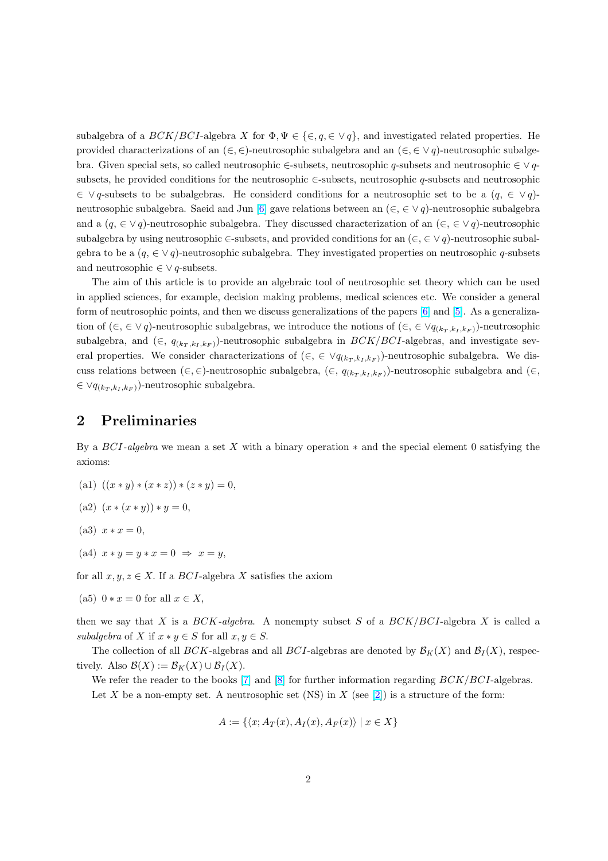subalgebra of a  $BCK/BCI$ -algebra X for  $\Phi, \Psi \in \{\in, q \in \vee q\}$ , and investigated related properties. He provided characterizations of an  $(\in, \in)$ -neutrosophic subalgebra and an  $(\in, \in \vee q)$ -neutrosophic subalgebra. Given special sets, so called neutrosophic ∈-subsets, neutrosophic q-subsets and neutrosophic ∈ ∨ qsubsets, he provided conditions for the neutrosophic ∈-subsets, neutrosophic q-subsets and neutrosophic  $\in \vee q$ -subsets to be subalgebras. He considerd conditions for a neutrosophic set to be a  $(q, \in \vee q)$ neutrosophic subalgebra. Saeid and Jun [6] gave relations between an  $(\in, \in \vee q)$ -neutrosophic subalgebra and a  $(q, \in \vee q)$ -neutrosophic subalgebra. They discussed characterization of an  $(\in, \in \vee q)$ -neutrosophic subalgebra by using neutrosophic ∈-subsets, and provided conditions for an  $(\in, \in \vee q)$ -neutrosophic subalgebra to be a  $(q, \in \vee q)$ -neutrosophic sub[alg](#page-15-0)ebra. They investigated properties on neutrosophic q-subsets and neutrosophic  $\in \vee q$ -subsets.

The aim of this article is to provide an algebraic tool of neutrosophic set theory which can be used in applied sciences, for example, decision making problems, medical sciences etc. We consider a general form of neutrosophic points, and then we discuss generalizations of the papers [6] and [5]. As a generalization of  $(\in, \in \vee q)$ -neutrosophic subalgebras, we introduce the notions of  $(\in, \in \vee q_{(k_T, k_I, k_F)})$ -neutrosophic subalgebra, and  $(\in, q_{(k_T, k_I, k_F)})$ -neutrosophic subalgebra in  $BCK/BCI$ -algebras, and investigate several pr[op](#page-15-0)erties. We consider characterizations of  $(\in, \in \forall q_{(k_T, k_I, k_F)})$ -neutrosophic s[ub](#page-15-0)algebra. We discuss relations between  $(\in, \in)$ -neutrosophic subalgebra,  $(\in, q_{(k_T, k_I, k_F)})$ -neutrosophic subalgebra and  $(\in, \in)$  $\in \vee q_{(k_T,k_I,k_F)}$ -neutrosophic subalgebra.

### 2 Preliminaries

By a BCI-algebra we mean a set X with a binary operation  $*$  and the special element 0 satisfying the axioms:

- (a1)  $((x * y) * (x * z)) * (z * y) = 0,$
- (a2)  $(x * (x * y)) * y = 0,$
- (a3)  $x * x = 0$ ,
- (a4)  $x * y = y * x = 0 \Rightarrow x = y$ ,

for all  $x, y, z \in X$ . If a *BCI*-algebra X satisfies the axiom

(a5)  $0 * x = 0$  for all  $x \in X$ ,

then we say that X is a  $BCK$ -algebra. A nonempty subset S of a  $BCK/BCI$ -algebra X is called a subalgebra of X if  $x * y \in S$  for all  $x, y \in S$ .

The collection of all BCK-algebras and all BCI-algebras are denoted by  $\mathcal{B}_K(X)$  and  $\mathcal{B}_I(X)$ , respectively. Also  $\mathcal{B}(X) := \mathcal{B}_K(X) \cup \mathcal{B}_I(X)$ .

We refer the reader to the books  $[7]$  and  $[8]$  for further information regarding  $BCK/BCI$ -algebras. Let X be a non-empty set. A neutrosophic set (NS) in X (see [2]) is a structure of the form:

$$
A := \{ \langle x; A_T(x), A_I(x), A_F(x) \rangle \mid x \in X \}
$$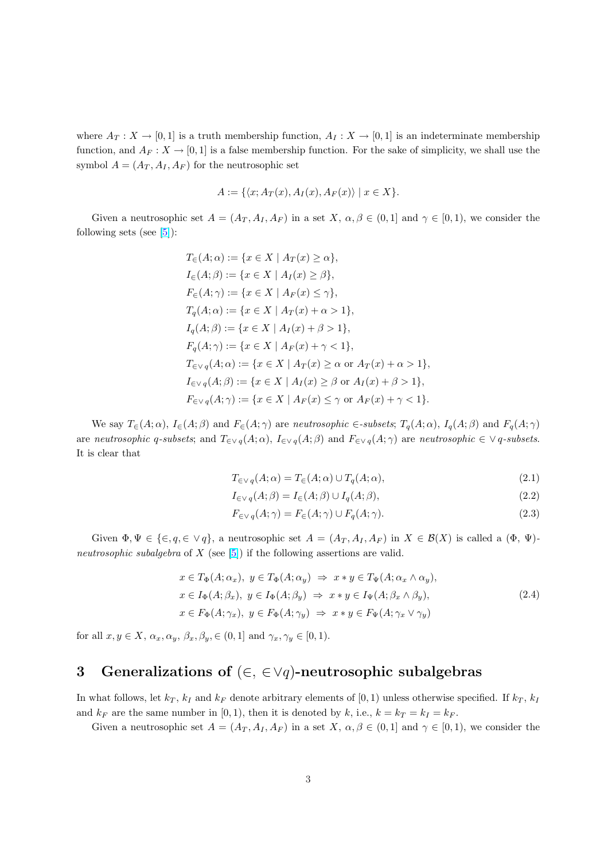where  $A_T: X \to [0,1]$  is a truth membership function,  $A_I: X \to [0,1]$  is an indeterminate membership function, and  $A_F: X \to [0,1]$  is a false membership function. For the sake of simplicity, we shall use the symbol  $A = (A_T, A_I, A_F)$  for the neutrosophic set

$$
A := \{ \langle x; A_T(x), A_I(x), A_F(x) \rangle \mid x \in X \}.
$$

Given a neutrosophic set  $A = (A_T, A_I, A_F)$  in a set X,  $\alpha, \beta \in (0, 1]$  and  $\gamma \in [0, 1)$ , we consider the following sets (see  $[5]$ ):

$$
T_{\in}(A; \alpha) := \{x \in X \mid A_T(x) \ge \alpha\},
$$
  
\n
$$
I_{\in}(A; \beta) := \{x \in X \mid A_I(x) \ge \beta\},
$$
  
\n
$$
F_{\in}(A; \gamma) := \{x \in X \mid A_F(x) \le \gamma\},
$$
  
\n
$$
T_q(A; \alpha) := \{x \in X \mid A_T(x) + \alpha > 1\},
$$
  
\n
$$
I_q(A; \beta) := \{x \in X \mid A_I(x) + \beta > 1\},
$$
  
\n
$$
F_q(A; \gamma) := \{x \in X \mid A_F(x) + \gamma < 1\},
$$
  
\n
$$
T_{\in V_q}(A; \alpha) := \{x \in X \mid A_T(x) \ge \alpha \text{ or } A_T(x) + \alpha > 1\},
$$
  
\n
$$
I_{\in V_q}(A; \beta) := \{x \in X \mid A_I(x) \ge \beta \text{ or } A_I(x) + \beta > 1\},
$$
  
\n
$$
F_{\in V_q}(A; \gamma) := \{x \in X \mid A_F(x) \le \gamma \text{ or } A_F(x) + \gamma < 1\}.
$$

We say  $T_{\in}(A;\alpha)$ ,  $I_{\in}(A;\beta)$  and  $F_{\in}(A;\gamma)$  are neutrosophic  $\in$ -subsets;  $T_q(A;\alpha)$ ,  $I_q(A;\beta)$  and  $F_q(A;\gamma)$ are neutrosophic q-subsets; and  $T_{\in \vee q}(A; \alpha)$ ,  $I_{\in \vee q}(A; \beta)$  and  $F_{\in \vee q}(A; \gamma)$  are neutrosophic  $\in \vee q$ -subsets. It is clear that

$$
T_{\in \vee q}(A; \alpha) = T_{\in}(A; \alpha) \cup T_{q}(A; \alpha), \qquad (2.1)
$$

$$
I_{\in \vee q}(A;\beta) = I_{\in}(A;\beta) \cup I_{q}(A;\beta),\tag{2.2}
$$

$$
F_{\in \vee q}(A; \gamma) = F_{\in}(A; \gamma) \cup F_{q}(A; \gamma).
$$
\n(2.3)

Given  $\Phi, \Psi \in \{\in, q \in \vee q\}$ , a neutrosophic set  $A = (A_T, A_I, A_F)$  in  $X \in \mathcal{B}(X)$  is called a  $(\Phi, \Psi)$ neutrosophic subalgebra of X (see  $[5]$ ) if the following assertions are valid.

$$
x \in T_{\Phi}(A; \alpha_x), y \in T_{\Phi}(A; \alpha_y) \Rightarrow x * y \in T_{\Psi}(A; \alpha_x \wedge \alpha_y),
$$
  
\n
$$
x \in I_{\Phi}(A; \beta_x), y \in I_{\Phi}(A; \beta_y) \Rightarrow x * y \in I_{\Psi}(A; \beta_x \wedge \beta_y),
$$
  
\n
$$
x \in F_{\Phi}(A; \gamma_x), y \in F_{\Phi}(A; \gamma_y) \Rightarrow x * y \in F_{\Psi}(A; \gamma_x \vee \gamma_y)
$$
\n(2.4)

for all  $x, y \in X$ ,  $\alpha_x, \alpha_y, \beta_x, \beta_y, \in (0, 1]$  and  $\gamma_x, \gamma_y \in [0, 1)$ .

# 3 Generalizations of  $(\in, \in \forall q)$ -neutrosophic subalgebras

In what follows, let  $k_T$ ,  $k_I$  and  $k_F$  denote arbitrary elements of [0, 1) unless otherwise specified. If  $k_T$ ,  $k_I$ and  $k_F$  are the same number in [0, 1], then it is denoted by k, i.e.,  $k = k_T = k_I = k_F$ .

Given a neutrosophic set  $A = (A_T, A_I, A_F)$  in a set  $X, \alpha, \beta \in (0, 1]$  and  $\gamma \in [0, 1)$ , we consider the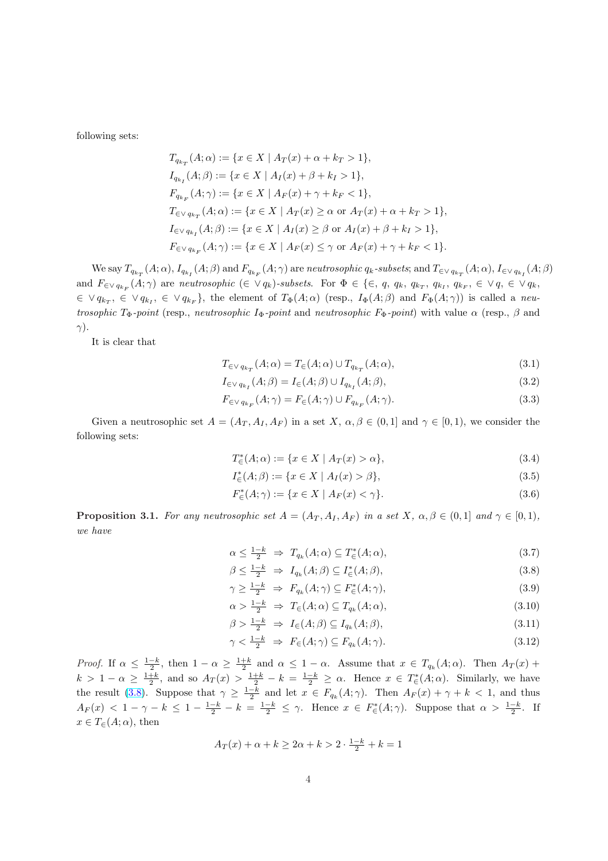<span id="page-3-0"></span>following sets:

$$
T_{q_{k_T}}(A; \alpha) := \{x \in X \mid A_T(x) + \alpha + k_T > 1\},
$$
  
\n
$$
I_{q_{k_I}}(A; \beta) := \{x \in X \mid A_I(x) + \beta + k_I > 1\},
$$
  
\n
$$
F_{q_{k_F}}(A; \gamma) := \{x \in X \mid A_F(x) + \gamma + k_F < 1\},
$$
  
\n
$$
T_{\in \vee q_{k_T}}(A; \alpha) := \{x \in X \mid A_T(x) \ge \alpha \text{ or } A_T(x) + \alpha + k_T > 1\},
$$
  
\n
$$
I_{\in \vee q_{k_I}}(A; \beta) := \{x \in X \mid A_I(x) \ge \beta \text{ or } A_I(x) + \beta + k_I > 1\},
$$
  
\n
$$
F_{\in \vee q_{k_F}}(A; \gamma) := \{x \in X \mid A_F(x) \le \gamma \text{ or } A_F(x) + \gamma + k_F < 1\}.
$$

We say  $T_{q_{k_T}}(A;\alpha)$ ,  $I_{q_{k_I}}(A;\beta)$  and  $F_{q_{k_F}}(A;\gamma)$  are neutrosophic  $q_k$ -subsets; and  $T_{\in\vee q_{k_T}}(A;\alpha)$ ,  $I_{\in\vee q_{k_I}}(A;\beta)$ and  $F_{\in \vee q_{k_F}}(A;\gamma)$  are neutrosophic  $(\in \vee q_k)$ -subsets. For  $\Phi \in \{\in, q, q_k, q_{k_T}, q_{k_T}, q_{k_F}, \in \vee q, \in \vee q_k, \}$  $\in \vee q_{k_T}, \in \vee q_{k_T}, \in \vee q_{k_F}$ , the element of  $T_{\Phi}(A; \alpha)$  (resp.,  $I_{\Phi}(A; \beta)$  and  $F_{\Phi}(A; \gamma)$ ) is called a neutrosophic T<sub>Φ</sub>-point (resp., neutrosophic I<sub>Φ</sub>-point and neutrosophic  $F_{\Phi}$ -point) with value  $\alpha$  (resp.,  $\beta$  and  $\gamma$ ).

It is clear that

$$
T_{\in V q_{k_T}}(A; \alpha) = T_{\infty}(A; \alpha) \cup T_{q_{k_T}}(A; \alpha), \qquad (3.1)
$$

$$
I_{\in V q_{k_I}}(A;\beta) = I_{\in}(A;\beta) \cup I_{q_{k_I}}(A;\beta),\tag{3.2}
$$

$$
F_{\in V\,q_{k_F}}(A;\gamma) = F_{\in}(A;\gamma) \cup F_{q_{k_F}}(A;\gamma).
$$
\n(3.3)

Given a neutrosophic set  $A = (A_T, A_I, A_F)$  in a set  $X, \alpha, \beta \in (0, 1]$  and  $\gamma \in [0, 1)$ , we consider the following sets:

$$
T_{\in}^*(A;\alpha) := \{ x \in X \mid A_T(x) > \alpha \},\tag{3.4}
$$

$$
I_{\in}^*(A;\beta) := \{ x \in X \mid A_I(x) > \beta \},\tag{3.5}
$$

$$
F_{\in}^*(A; \gamma) := \{ x \in X \mid A_F(x) < \gamma \}. \tag{3.6}
$$

**Proposition 3.1.** For any neutrosophic set  $A = (A_T, A_T, A_F)$  in a set  $X, \alpha, \beta \in (0, 1]$  and  $\gamma \in [0, 1)$ , we have

$$
\alpha \le \frac{1-k}{2} \Rightarrow T_{q_k}(A; \alpha) \subseteq T^*_{\infty}(A; \alpha), \tag{3.7}
$$

$$
\beta \le \frac{1-k}{2} \Rightarrow I_{q_k}(A;\beta) \subseteq I_{\in}^*(A;\beta),\tag{3.8}
$$

$$
\gamma \ge \frac{1-k}{2} \Rightarrow F_{q_k}(A; \gamma) \subseteq F_{\in}^*(A; \gamma), \tag{3.9}
$$

$$
\alpha > \frac{1-k}{2} \Rightarrow T_{\in}(A; \alpha) \subseteq T_{q_k}(A; \alpha), \tag{3.10}
$$

$$
\beta > \frac{1-k}{2} \Rightarrow I_{\in}(A;\beta) \subseteq I_{q_k}(A;\beta),\tag{3.11}
$$

$$
\gamma < \frac{1-k}{2} \Rightarrow F_{\in}(A; \gamma) \subseteq F_{q_k}(A; \gamma). \tag{3.12}
$$

Proof. If  $\alpha \leq \frac{1-k}{2}$ , then  $1-\alpha \geq \frac{1+k}{2}$  and  $\alpha \leq 1-\alpha$ . Assume that  $x \in T_{q_k}(A; \alpha)$ . Then  $A_T(x)$  +  $k > 1 - \alpha \ge \frac{1+k}{2}$ , and so  $A_T(x) > \frac{1+k}{2} - k = \frac{1-k}{2} \ge \alpha$ . Hence  $x \in T^*(A; \alpha)$ . Similarly, we have the result (3.8). Suppose that  $\gamma \geq \frac{1-k}{2}$  and let  $x \in F_{q_k}(A;\gamma)$ . Then  $A_F(x) + \gamma + k < 1$ , and thus  $A_F(x) < 1 - \gamma - k \leq 1 - \frac{1-k}{2} - k = \frac{1-k}{2} \leq \gamma$ . Hence  $x \in F^*(A; \gamma)$ . Suppose that  $\alpha > \frac{1-k}{2}$ . If  $x \in T_{\epsilon}(A; \alpha)$ , then

$$
A_T(x)+\alpha+k\geq 2\alpha+k>2\cdot \tfrac{1-k}{2}+k=1
$$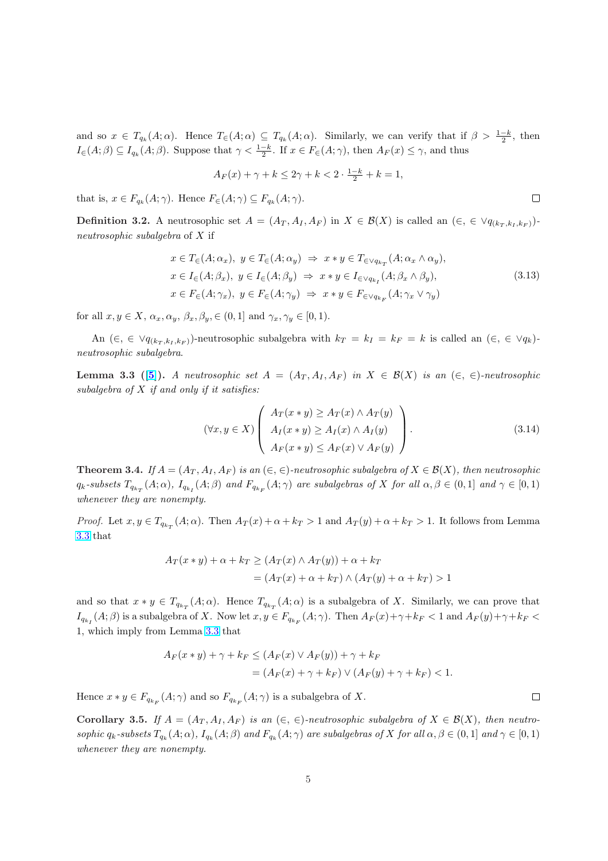<span id="page-4-0"></span>and so  $x \in T_{q_k}(A;\alpha)$ . Hence  $T_{\in}(A;\alpha) \subseteq T_{q_k}(A;\alpha)$ . Similarly, we can verify that if  $\beta > \frac{1-k}{2}$ , then  $I_{\in}(A;\beta) \subseteq I_{q_k}(A;\beta)$ . Suppose that  $\gamma < \frac{1-k}{2}$ . If  $x \in F_{\in}(A;\gamma)$ , then  $A_F(x) \leq \gamma$ , and thus

$$
A_F(x)+\gamma+k\leq 2\gamma+k<2\cdot \tfrac{1-k}{2}+k=1,
$$

that is,  $x \in F_{q_k}(A; \gamma)$ . Hence  $F_{\in}(A; \gamma) \subseteq F_{q_k}(A; \gamma)$ .

**Definition 3.2.** A neutrosophic set  $A = (A_T, A_I, A_F)$  in  $X \in \mathcal{B}(X)$  is called an  $(\in, \in \vee q_{(k_T, k_I, k_F)})$ neutrosophic subalgebra of X if

$$
x \in T_{\in}(A; \alpha_x), y \in T_{\in}(A; \alpha_y) \Rightarrow x * y \in T_{\in \vee q_{k_T}}(A; \alpha_x \wedge \alpha_y),
$$
  
\n
$$
x \in I_{\in}(A; \beta_x), y \in I_{\in}(A; \beta_y) \Rightarrow x * y \in I_{\in \vee q_{k_I}}(A; \beta_x \wedge \beta_y),
$$
  
\n
$$
x \in F_{\in}(A; \gamma_x), y \in F_{\in}(A; \gamma_y) \Rightarrow x * y \in F_{\in \vee q_{k_F}}(A; \gamma_x \vee \gamma_y)
$$
\n(3.13)

for all  $x, y \in X$ ,  $\alpha_x, \alpha_y, \beta_x, \beta_y \in (0, 1]$  and  $\gamma_x, \gamma_y \in [0, 1)$ .

An  $(\epsilon, \epsilon \vee q_{(k_T, k_I, k_F)})$ -neutrosophic subalgebra with  $k_T = k_I = k_F = k$  is called an  $(\epsilon, \epsilon \vee q_k)$ neutrosophic subalgebra.

**Lemma 3.3** ([5]). A neutrosophic set  $A = (A_T, A_I, A_F)$  in  $X \in \mathcal{B}(X)$  is an  $(\in, \in)$ -neutrosophic subalgebra of  $X$  if and only if it satisfies:

$$
(\forall x, y \in X) \left( \begin{array}{c} A_T(x * y) \ge A_T(x) \land A_T(y) \\ A_I(x * y) \ge A_I(x) \land A_I(y) \\ A_F(x * y) \le A_F(x) \lor A_F(y) \end{array} \right). \tag{3.14}
$$

**Theorem 3.4.** If  $A = (A_T, A_I, A_F)$  is an  $(\in, \in)$ -neutrosophic subalgebra of  $X \in \mathcal{B}(X)$ , then neutrosophic  $q_k$ -subsets  $T_{q_{k_T}}(A;\alpha)$ ,  $I_{q_{k_I}}(A;\beta)$  and  $F_{q_{k_F}}(A;\gamma)$  are subalgebras of X for all  $\alpha,\beta\in(0,1]$  and  $\gamma\in[0,1)$ whenever they are nonempty.

*Proof.* Let  $x, y \in T_{q_{k_T}}(A; \alpha)$ . Then  $A_T(x) + \alpha + k_T > 1$  and  $A_T(y) + \alpha + k_T > 1$ . It follows from Lemma 3.3 that

$$
A_T(x * y) + \alpha + k_T \ge (A_T(x) \wedge A_T(y)) + \alpha + k_T
$$
  
=  $(A_T(x) + \alpha + k_T) \wedge (A_T(y) + \alpha + k_T) > 1$ 

and so that  $x * y \in T_{q_{k_T}}(A; \alpha)$ . Hence  $T_{q_{k_T}}(A; \alpha)$  is a subalgebra of X. Similarly, we can prove that  $I_{q_{k}}(A;\beta)$  is a subalgebra of X. Now let  $x, y \in F_{q_{k_F}}(A;\gamma)$ . Then  $A_F(x)+\gamma+k_F < 1$  and  $A_F(y)+\gamma+k_F < 1$ 1, which imply from Lemma 3.3 that

$$
A_F(x*y) + \gamma + k_F \le (A_F(x) \vee A_F(y)) + \gamma + k_F
$$
  
=  $(A_F(x) + \gamma + k_F) \vee (A_F(y) + \gamma + k_F) < 1.$ 

Hence  $x * y \in F_{q_{k_F}}(A; \gamma)$  and so  $F_{q_{k_F}}(A; \gamma)$  is a subalgebra of X.

Corollary 3.5. If  $A = (A_T, A_I, A_F)$  is an  $(\in, \in)$ -neutrosophic subalgebra of  $X \in \mathcal{B}(X)$ , then neutrosophic  $q_k$ -subsets  $T_{q_k}(A;\alpha)$ ,  $I_{q_k}(A;\beta)$  and  $F_{q_k}(A;\gamma)$  are subalgebras of X for all  $\alpha, \beta \in (0,1]$  and  $\gamma \in [0,1)$ whenever they are nonempty.

 $\Box$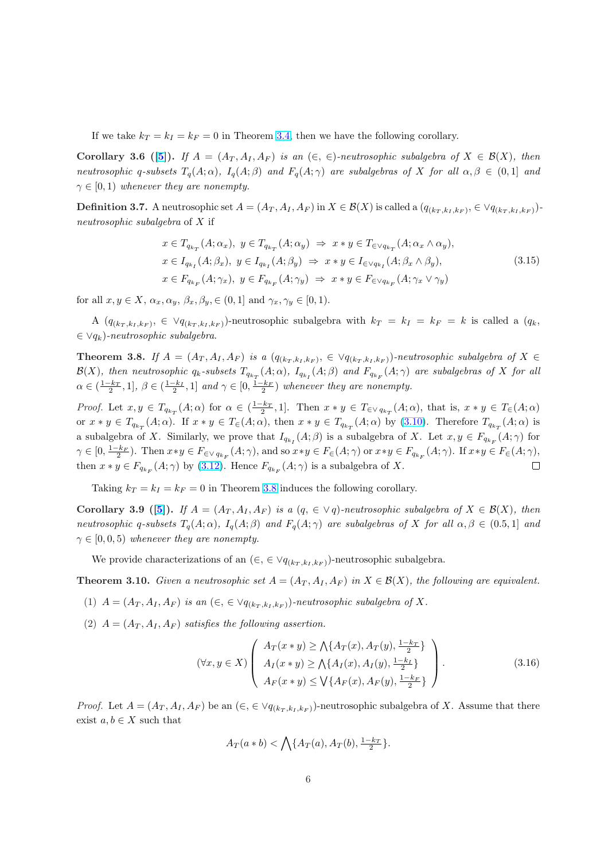<span id="page-5-0"></span>If we take  $k_T = k_I = k_F = 0$  in Theorem 3.4, then we have the following corollary.

Corollary 3.6 ([5]). If  $A = (A_T, A_I, A_F)$  is an  $(\in, \in)$ -neutrosophic subalgebra of  $X \in \mathcal{B}(X)$ , then neutrosophic q-subsets  $T_q(A; \alpha)$ ,  $I_q(A; \beta)$  and  $F_q(A; \gamma)$  are subalgebras of X for all  $\alpha, \beta \in (0,1]$  and  $\gamma \in [0, 1)$  whenever they are nonempty.

**Definition 3.7.** [A n](#page-15-0)eutrosophic set  $A = (A_T, A_I, A_F)$  in  $X \in \mathcal{B}(X)$  is called a  $(q_{(k_T, k_I, k_F)}, \in \vee q_{(k_T, k_I, k_F)})$ neutrosophic subalgebra of X if

$$
x \in T_{q_{k_T}}(A; \alpha_x), y \in T_{q_{k_T}}(A; \alpha_y) \Rightarrow x * y \in T_{\in \vee q_{k_T}}(A; \alpha_x \wedge \alpha_y),
$$
  
\n
$$
x \in I_{q_{k_I}}(A; \beta_x), y \in I_{q_{k_I}}(A; \beta_y) \Rightarrow x * y \in I_{\in \vee q_{k_I}}(A; \beta_x \wedge \beta_y),
$$
  
\n
$$
x \in F_{q_{k_F}}(A; \gamma_x), y \in F_{q_{k_F}}(A; \gamma_y) \Rightarrow x * y \in F_{\in \vee q_{k_F}}(A; \gamma_x \vee \gamma_y)
$$
\n(3.15)

for all  $x, y \in X$ ,  $\alpha_x, \alpha_y, \beta_x, \beta_y \in (0, 1]$  and  $\gamma_x, \gamma_y \in [0, 1)$ .

A  $(q_{(k_T,k_I,k_F)}, \in \forall q_{(k_T,k_I,k_F)}$ -neutrosophic subalgebra with  $k_T = k_I = k_F = k$  is called a  $(q_k,$  $\in \vee q_k$ )-neutrosophic subalgebra.

**Theorem 3.8.** If  $A = (A_T, A_I, A_F)$  is a  $(q_{(k_T, k_I, k_F)}, \in \forall q_{(k_T, k_I, k_F)})$ -neutrosophic subalgebra of  $X \in$  $\mathcal{B}(X)$ , then neutrosophic  $q_k$ -subsets  $T_{q_{k_T}}(A;\alpha)$ ,  $I_{q_{k_I}}(A;\beta)$  and  $F_{q_{k_F}}(A;\gamma)$  are subalgebras of X for all  $\alpha \in (\frac{1-k_T}{2}, 1], \beta \in (\frac{1-k_I}{2}, 1]$  and  $\gamma \in [0, \frac{1-k_F}{2})$  whenever they are nonempty.

Proof. Let  $x, y \in T_{q_{k_T}}(A; \alpha)$  for  $\alpha \in (\frac{1-k_T}{2}, 1]$ . Then  $x * y \in T_{\in \nabla q_{k_T}}(A; \alpha)$ , that is,  $x * y \in T_{\in}(A; \alpha)$ or  $x * y \in T_{q_{k_T}}(A; \alpha)$ . If  $x * y \in T_{\in}(A; \alpha)$ , then  $x * y \in T_{q_{k_T}}(A; \alpha)$  by (3.10). Therefore  $T_{q_{k_T}}(A; \alpha)$  is a subalgebra of X. Similarly, we prove that  $I_{q_{k_I}}(A;\beta)$  is a subalgebra of X. Let  $x, y \in F_{q_{k_F}}(A;\gamma)$  for  $\gamma \in [0, \frac{1-k_F}{2})$ . Then  $x*y \in F_{\in \vee q_{k_F}}(A; \gamma)$ , and so  $x*y \in F_{\in}(A; \gamma)$  or  $x*y \in F_{q_{k_F}}(A; \gamma)$ . If  $x*y \in F_{\in}(A; \gamma)$ ,  $\Box$ then  $x * y \in F_{q_{k_F}}(A; \gamma)$  by (3[.](#page-3-0)12). Hence  $F_{q_{k_F}}(A; \gamma)$  is a subalgebra of X.

Taking  $k_T = k_I = k_F = 0$  in Theorem 3.8 induces the following corollary.

Corollary 3.9 ([5]). If  $A = (A_T, A_I, A_F)$  $A = (A_T, A_I, A_F)$  $A = (A_T, A_I, A_F)$  is a  $(q, \in \forall q)$ -neutrosophic subalgebra of  $X \in \mathcal{B}(X)$ , then neutrosophic q-subsets  $T_q(A; \alpha)$ ,  $I_q(A; \beta)$  and  $F_q(A; \gamma)$  are subalgebras of X for all  $\alpha, \beta \in (0.5, 1]$  and  $\gamma \in [0, 0, 5)$  whenever they are nonempty.

We provide c[har](#page-15-0)acterizations of an  $(\epsilon, \epsilon \vee q_{(k_T, k_I, k_F)})$ -neutrosophic subalgebra.

**Theorem 3.10.** Given a neutrosophic set  $A = (A_T, A_I, A_F)$  in  $X \in \mathcal{B}(X)$ , the following are equivalent.

- (1)  $A = (A_T, A_I, A_F)$  is an  $(\epsilon, \epsilon \vee q_{(k_T, k_I, k_F)})$ -neutrosophic subalgebra of X.
- (2)  $A = (A_T, A_I, A_F)$  satisfies the following assertion.

$$
(\forall x, y \in X) \left( \begin{array}{c} A_T(x * y) \ge \bigwedge \{ A_T(x), A_T(y), \frac{1 - k_T}{2} \} \\ A_I(x * y) \ge \bigwedge \{ A_I(x), A_I(y), \frac{1 - k_I}{2} \} \\ A_F(x * y) \le \bigvee \{ A_F(x), A_F(y), \frac{1 - k_F}{2} \} \end{array} \right). \tag{3.16}
$$

*Proof.* Let  $A = (A_T, A_I, A_F)$  be an  $(\epsilon, \epsilon \vee q_{(k_T, k_I, k_F)})$ -neutrosophic subalgebra of X. Assume that there exist  $a, b \in X$  such that

$$
A_T(a * b) < \bigwedge \{ A_T(a), A_T(b), \frac{1 - k_T}{2} \}.
$$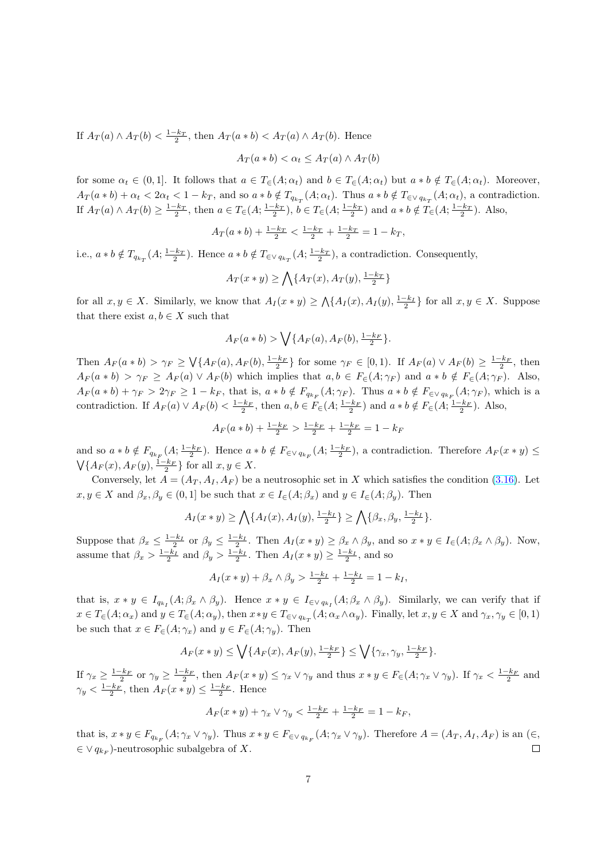If  $A_T(a) \wedge A_T(b) < \frac{1-k_T}{2}$ , then  $A_T(a * b) < A_T(a) \wedge A_T(b)$ . Hence

$$
A_T(a * b) < \alpha_t \le A_T(a) \land A_T(b)
$$

for some  $\alpha_t \in (0,1]$ . It follows that  $a \in T_{\epsilon}(A; \alpha_t)$  and  $b \in T_{\epsilon}(A; \alpha_t)$  but  $a * b \notin T_{\epsilon}(A; \alpha_t)$ . Moreover,  $A_T(a*b) + \alpha_t < 2\alpha_t < 1 - k_T$ , and so  $a*b \notin T_{q_{k_T}}(A; \alpha_t)$ . Thus  $a*b \notin T_{\in \vee q_{k_T}}(A; \alpha_t)$ , a contradiction. If  $A_T(a) \wedge A_T(b) \ge \frac{1-k_T}{2}$ , then  $a \in T_{\epsilon}(A; \frac{1-k_T}{2})$ ,  $b \in T_{\epsilon}(A; \frac{1-k_T}{2})$  and  $a * b \notin T_{\epsilon}(A; \frac{1-k_T}{2})$ . Also,

$$
A_T(a * b) + \frac{1 - k_T}{2} < \frac{1 - k_T}{2} + \frac{1 - k_T}{2} = 1 - k_T,
$$

i.e.,  $a * b \notin T_{q_{k_T}}(A; \frac{1-k_T}{2})$ . Hence  $a * b \notin T_{\in \vee q_{k_T}}(A; \frac{1-k_T}{2})$ , a contradiction. Consequently,

$$
A_T(x*y) \ge \bigwedge \{A_T(x), A_T(y), \frac{1-k_T}{2}\}
$$

for all  $x, y \in X$ . Similarly, we know that  $A_I(x * y) \geq \bigwedge \{A_I(x), A_I(y), \frac{1-k_I}{2}\}\$ for all  $x, y \in X$ . Suppose that there exist  $a, b \in X$  such that

$$
A_F(a * b) > \bigvee \{A_F(a), A_F(b), \frac{1-k_F}{2}\}.
$$

Then  $A_F(a * b) > \gamma_F \geq \sqrt{\{A_F(a), A_F(b), \frac{1-k_F}{2}}\}$  for some  $\gamma_F \in [0,1)$ . If  $A_F(a) \vee A_F(b) \geq \frac{1-k_F}{2}$ , then  $A_F(a * b) > \gamma_F \geq A_F(a) \vee A_F(b)$  which implies that  $a, b \in F_{\epsilon}(A; \gamma_F)$  and  $a * b \notin F_{\epsilon}(A; \gamma_F)$ . Also,  $A_F(a*b) + \gamma_F > 2\gamma_F \ge 1 - k_F$ , that is,  $a*b \notin F_{q_{k_F}}(A;\gamma_F)$ . Thus  $a*b \notin F_{\in \vee q_{k_F}}(A;\gamma_F)$ , which is a contradiction. If  $A_F(a) \vee A_F(b) < \frac{1-k_F}{2}$ , then  $a, b \in F_{\in}(A; \frac{1-k_F}{2})$  and  $a * b \notin F_{\in}(A; \frac{1-k_F}{2})$ . Also,

$$
A_F(a * b) + \frac{1 - k_F}{2} > \frac{1 - k_F}{2} + \frac{1 - k_F}{2} = 1 - k_F
$$

and so  $a * b \notin F_{q_{k_F}}(A; \frac{1-k_F}{2})$ . Hence  $a * b \notin F_{\in \vee q_{k_F}}(A; \frac{1-k_F}{2})$ , a contradiction. Therefore  $A_F(x * y) \le$  $\sqrt{\{A_F(x), A_F(y), \frac{1-k_F}{2}\}}$  for all  $x, y \in X$ .

Conversely, let  $A = (A_T, A_I, A_F)$  be a neutrosophic set in X which satisfies the condition (3.16). Let  $x, y \in X$  and  $\beta_x, \beta_y \in (0,1]$  be such that  $x \in I_{\infty}(A; \beta_x)$  and  $y \in I_{\infty}(A; \beta_y)$ . Then

$$
A_I(x * y) \ge \bigwedge \{A_I(x), A_I(y), \frac{1 - k_I}{2}\} \ge \bigwedge \{\beta_x, \beta_y, \frac{1 - k_I}{2}\}.
$$

Suppose that  $\beta_x \leq \frac{1-k_I}{2}$  or  $\beta_y \leq \frac{1-k_I}{2}$ . Then  $A_I(x * y) \geq \beta_x \wedge \beta_y$ , and so  $x * y \in I_{\epsilon}(A; \beta_x \wedge \beta_y)$ . Now, assume that  $\beta_x > \frac{1-k_I}{2}$  and  $\beta_y > \frac{1-k_I}{2}$ . Then  $A_I(x * y) \ge \frac{1-k_I}{2}$ , and so

$$
A_I(x * y) + \beta_x \wedge \beta_y > \frac{1 - k_I}{2} + \frac{1 - k_I}{2} = 1 - k_I,
$$

that is,  $x * y \in I_{q_{k_I}}(A; \beta_x \wedge \beta_y)$ . Hence  $x * y \in I_{\in \vee q_{k_I}}(A; \beta_x \wedge \beta_y)$ . Similarly, we can verify that if  $x \in T_{\in}(A; \alpha_x)$  and  $y \in T_{\in}(A; \alpha_y)$ , then  $x \ast y \in T_{\in \vee q_{k_T}}(A; \alpha_x \wedge \alpha_y)$ . Finally, let  $x, y \in X$  and  $\gamma_x, \gamma_y \in [0, 1)$ be such that  $x \in F_{\in}(A; \gamma_x)$  and  $y \in F_{\in}(A; \gamma_y)$ . Then

$$
A_F(x * y) \le \bigvee \{A_F(x), A_F(y), \frac{1-k_F}{2}\} \le \bigvee \{\gamma_x, \gamma_y, \frac{1-k_F}{2}\}.
$$

If  $\gamma_x \geq \frac{1-k_F}{2}$  or  $\gamma_y \geq \frac{1-k_F}{2}$ , then  $A_F(x * y) \leq \gamma_x \vee \gamma_y$  and thus  $x * y \in F_{\in}(A; \gamma_x \vee \gamma_y)$ . If  $\gamma_x < \frac{1-k_F}{2}$  and  $\gamma_y < \frac{1-k_F}{2}$ , then  $A_F(x * y) \leq \frac{1-k_F}{2}$ . Hence

$$
A_F(x * y) + \gamma_x \vee \gamma_y < \frac{1 - k_F}{2} + \frac{1 - k_F}{2} = 1 - k_F,
$$

that is,  $x * y \in F_{q_{k_F}}(A; \gamma_x \vee \gamma_y)$ . Thus  $x * y \in F_{\in \vee q_{k_F}}(A; \gamma_x \vee \gamma_y)$ . Therefore  $A = (A_T, A_I, A_F)$  is an  $(\in, \mathbb{R})$ .  $\in \vee q_{k_F}$ )-neutrosophic subalgebra of X.  $\Box$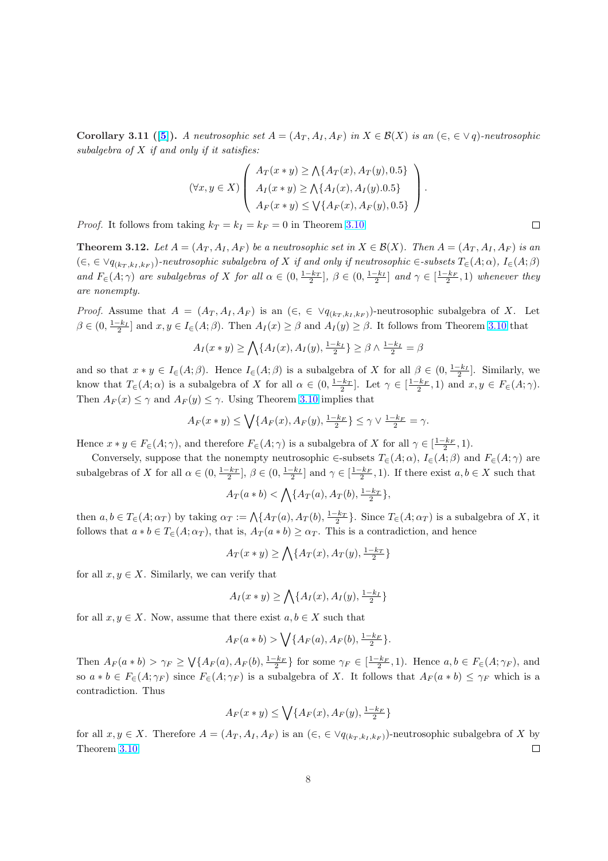<span id="page-7-0"></span>Corollary 3.11 ([5]). A neutrosophic set  $A = (A_T, A_I, A_F)$  in  $X \in \mathcal{B}(X)$  is an  $(\in, \in \vee q)$ -neutrosophic subalgebra of  $X$  if and only if it satisfies:

$$
(\forall x, y \in X) \left( \begin{array}{c} A_T(x * y) \ge \bigwedge \{ A_T(x), A_T(y), 0.5 \} \\ A_I(x * y) \ge \bigwedge \{ A_I(x), A_I(y).0.5 \} \\ A_F(x * y) \le \bigvee \{ A_F(x), A_F(y), 0.5 \} \end{array} \right).
$$

*Proof.* It follows from taking  $k_T = k_I = k_F = 0$  in Theorem 3.10.

**Theorem 3.12.** Let  $A = (A_T, A_I, A_F)$  be a neutrosophic set in  $X \in \mathcal{B}(X)$ . Then  $A = (A_T, A_I, A_F)$  is an  $(\epsilon, \epsilon \vee q_{(k_T, k_I, k_F)})$ -neutrosophic subalgebra of X if and only if neutrosophic  $\epsilon$ -subsets  $T_{\epsilon}(A; \alpha)$ ,  $I_{\epsilon}(A; \beta)$ and  $F_{\in}(A; \gamma)$  are subalgebras of X for all  $\alpha \in (0, \frac{1-k_T}{2}], \beta \in (0, \frac{1-k_I}{2}]$  $\alpha \in (0, \frac{1-k_T}{2}], \beta \in (0, \frac{1-k_I}{2}]$  $\alpha \in (0, \frac{1-k_T}{2}], \beta \in (0, \frac{1-k_I}{2}]$  and  $\gamma \in [\frac{1-k_F}{2}, 1]$  whenever they are nonempty.

*Proof.* Assume that  $A = (A_T, A_I, A_F)$  is an  $(\epsilon, \epsilon \lor q_{(k_T, k_I, k_F)})$ -neutrosophic subalgebra of X. Let  $\beta \in (0, \frac{1-k_I}{2}]$  and  $x, y \in I_{\epsilon}(A;\beta)$ . Then  $A_I(x) \geq \beta$  and  $A_I(y) \geq \beta$ . It follows from Theorem 3.10 that

$$
A_I(x*y) \ge \bigwedge \{A_I(x), A_I(y), \frac{1-k_I}{2}\} \ge \beta \wedge \frac{1-k_I}{2} = \beta
$$

and so that  $x * y \in I_{\epsilon}(A;\beta)$ . Hence  $I_{\epsilon}(A;\beta)$  is a subalgebra of X for all  $\beta \in (0, \frac{1-k_I}{2}]$ . [Simila](#page-5-0)rly, we know that  $T_{\epsilon}(A; \alpha)$  is a subalgebra of X for all  $\alpha \in (0, \frac{1-k_T}{2}]$ . Let  $\gamma \in [\frac{1-k_F}{2}, 1)$  and  $x, y \in F_{\epsilon}(A; \gamma)$ . Then  $A_F(x) \leq \gamma$  and  $A_F(y) \leq \gamma$ . Using Theorem 3.10 implies that

$$
A_F(x*y)\leq \bigvee\{A_F(x),A_F(y),\frac{1-k_F}{2}\}\leq \gamma \vee \frac{1-k_F}{2}=\gamma.
$$

Hence  $x * y \in F_{\in}(A; \gamma)$ , and therefore  $F_{\in}(A; \gamma)$  is [a sub](#page-5-0)algebra of X for all  $\gamma \in [\frac{1-k_F}{2}, 1)$ .

Conversely, suppose that the nonempty neutrosophic  $\in$ -subsets  $T_{\in}(A;\alpha)$ ,  $I_{\in}(A;\beta)$  and  $F_{\in}(A;\gamma)$  are subalgebras of X for all  $\alpha \in (0, \frac{1-k_T}{2}], \beta \in (0, \frac{1-k_I}{2}]$  and  $\gamma \in [\frac{1-k_F}{2}, 1)$ . If there exist  $a, b \in X$  such that

$$
A_T(a * b) < \bigwedge \{A_T(a), A_T(b), \frac{1 - k_T}{2}\},
$$

then  $a, b \in T_{\epsilon}(A; \alpha_T)$  by taking  $\alpha_T := \bigwedge \{A_T(a), A_T(b), \frac{1-k_T}{2}\}.$  Since  $T_{\epsilon}(A; \alpha_T)$  is a subalgebra of X, it follows that  $a * b \in T_{\epsilon}(A; \alpha_T)$ , that is,  $A_T(a * b) \geq \alpha_T$ . This is a contradiction, and hence

$$
A_T(x*y) \ge \bigwedge \{A_T(x), A_T(y), \frac{1-k_T}{2}\}
$$

for all  $x, y \in X$ . Similarly, we can verify that

$$
A_I(x*y) \ge \bigwedge \{A_I(x), A_I(y), \frac{1-k_I}{2}\}
$$

for all  $x, y \in X$ . Now, assume that there exist  $a, b \in X$  such that

$$
A_F(a * b) > \bigvee \{A_F(a), A_F(b), \frac{1-k_F}{2}\}.
$$

Then  $A_F(a * b) > \gamma_F \geq \bigvee \{A_F(a), A_F(b), \frac{1-k_F}{2}\}\$  for some  $\gamma_F \in [\frac{1-k_F}{2}, 1]$ . Hence  $a, b \in F_{\infty}(A; \gamma_F)$ , and so  $a * b \in F_{\in}(A; \gamma_F)$  since  $F_{\in}(A; \gamma_F)$  is a subalgebra of X. It follows that  $A_F(a * b) \leq \gamma_F$  which is a contradiction. Thus

$$
A_F(x*y)\leq \bigvee\{A_F(x),A_F(y),\tfrac{1-k_F}{2}\}
$$

for all  $x, y \in X$ . Therefore  $A = (A_T, A_I, A_F)$  is an  $(\epsilon, \epsilon \vee q_{(k_T, k_I, k_F)})$ -neutrosophic subalgebra of X by Theorem 3.10.  $\Box$ 

| ____ |  |  |
|------|--|--|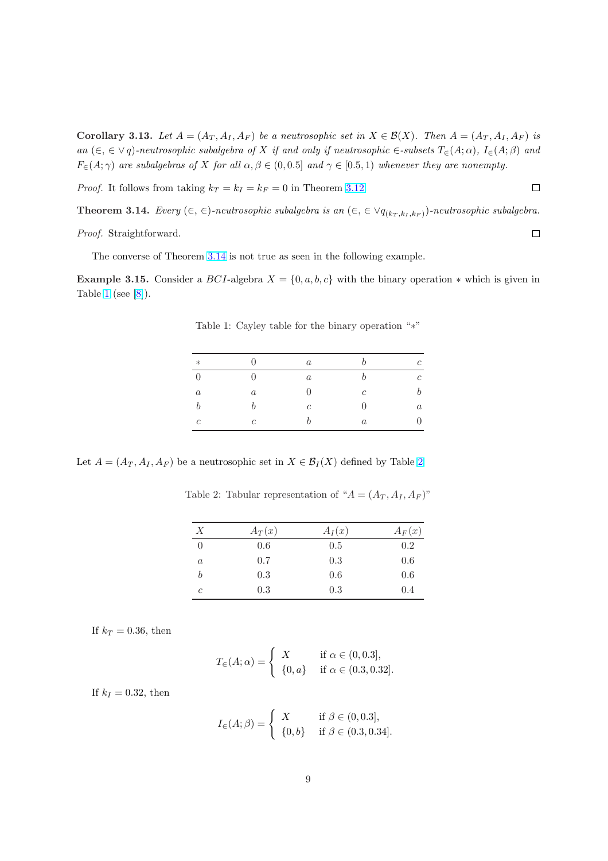<span id="page-8-0"></span>Corollary 3.13. Let  $A = (A_T, A_I, A_F)$  be a neutrosophic set in  $X \in \mathcal{B}(X)$ . Then  $A = (A_T, A_I, A_F)$  is an  $(\in, \in \vee q)$ -neutrosophic subalgebra of X if and only if neutrosophic  $\in$ -subsets  $T_{\in}(A; \alpha)$ ,  $I_{\in}(A; \beta)$  and  $F_{\epsilon}(A;\gamma)$  are subalgebras of X for all  $\alpha, \beta \in (0,0.5]$  and  $\gamma \in [0.5,1)$  whenever they are nonempty.

*Proof.* It follows from taking  $k_T = k_I = k_F = 0$  in Theorem 3.12.

Theorem 3.14. Every  $(\in, \in)$ -neutrosophic subalgebra is an  $(\in, \in \vee q_{(k_T, k_I, k_F)})$ -neutrosophic subalgebra.

Proof. Straightforward.

The converse of Theorem 3.14 is not true as seen in the following example.

Example 3.15. Consider a BCI-algebra  $X = \{0, a, b, c\}$  with the binary operation  $*$  which is given in Table 1 (see  $[8]$ ).

| $\ast$           |          | $\boldsymbol{a}$ | b                | $\mathfrak c$    |
|------------------|----------|------------------|------------------|------------------|
| $\overline{0}$   | $\Omega$ | $\boldsymbol{a}$ | b                | $\overline{c}$   |
| $\boldsymbol{a}$ | $\it a$  | $\theta$         | $\,c\,$          | $\boldsymbol{b}$ |
| $\boldsymbol{b}$ | b        | $\,c\,$          | $\theta$         | $\it a$          |
| $\mathcal{C}$    | с        | b                | $\boldsymbol{a}$ | 0                |

Table 1: Cayley table for the binary operation "∗"

Let  $A = (A_T, A_I, A_F)$  be a neutrosophic set in  $X \in \mathcal{B}_I(X)$  defined by Table 2

Table 2: Tabular representation of " $A = (A_T, A_I, A_F)$ "

| Х              | $A_T(x)$ | $A_I(x)$ | $A_F(x)$ |
|----------------|----------|----------|----------|
| $\overline{0}$ | 0.6      | 0.5      | 0.2      |
| $\it a$        | 0.7      | 0.3      | 0.6      |
| b              | 0.3      | 0.6      | 0.6      |
| с              | 0.3      | 0.3      | 0.4      |

If  $k_T = 0.36$ , then

$$
T_{\in}(A; \alpha) = \begin{cases} X & \text{if } \alpha \in (0, 0.3], \\ \{0, a\} & \text{if } \alpha \in (0.3, 0.32]. \end{cases}
$$

If  $k_I = 0.32$ , then

$$
I_{\in}(A; \beta) = \begin{cases} X & \text{if } \beta \in (0, 0.3], \\ \{0, b\} & \text{if } \beta \in (0.3, 0.34]. \end{cases}
$$

 $\Box$ 

 $\Box$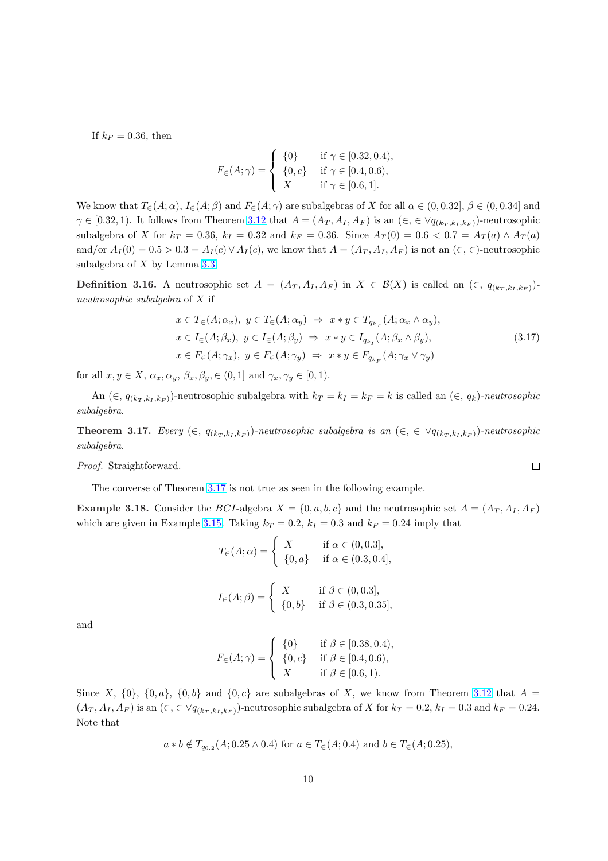If  $k_F = 0.36$ , then

$$
F_{\in}(A; \gamma) = \begin{cases} \{0\} & \text{if } \gamma \in [0.32, 0.4), \\ \{0, c\} & \text{if } \gamma \in [0.4, 0.6), \\ X & \text{if } \gamma \in [0.6, 1]. \end{cases}
$$

We know that  $T_{\in}(A; \alpha)$ ,  $I_{\in}(A; \beta)$  and  $F_{\in}(A; \gamma)$  are subalgebras of X for all  $\alpha \in (0, 0.32]$ ,  $\beta \in (0, 0.34]$  and  $\gamma \in [0.32, 1)$ . It follows from Theorem 3.12 that  $A = (A_T, A_I, A_F)$  is an  $(\in, \in \vee q_{(k_T, k_I, k_F)})$ -neutrosophic subalgebra of X for  $k_T = 0.36$ ,  $k_I = 0.32$  and  $k_F = 0.36$ . Since  $A_T(0) = 0.6 < 0.7 = A_T(a) \wedge A_T(a)$ and/or  $A_I(0) = 0.5 > 0.3 = A_I(c) \vee A_I(c)$ , we know that  $A = (A_T, A_I, A_F)$  is not an  $(\in, \in)$ -neutrosophic subalgebra of X by Lemma 3.3.

**Definition 3.16.** A neutrosophic set  $A = (A_T, A_I, A_F)$  in  $X \in \mathcal{B}(X)$  is called an  $(\in, q_{(k_T, k_I, k_F)})$ neutrosophic subalgebra of X if

$$
x \in T_{\in}(A; \alpha_x), y \in T_{\in}(A; \alpha_y) \Rightarrow x * y \in T_{q_{k_T}}(A; \alpha_x \wedge \alpha_y),
$$
  
\n
$$
x \in I_{\in}(A; \beta_x), y \in I_{\in}(A; \beta_y) \Rightarrow x * y \in I_{q_{k_T}}(A; \beta_x \wedge \beta_y),
$$
  
\n
$$
x \in F_{\in}(A; \gamma_x), y \in F_{\in}(A; \gamma_y) \Rightarrow x * y \in F_{q_{k_F}}(A; \gamma_x \vee \gamma_y)
$$
\n(3.17)

for all  $x, y \in X$ ,  $\alpha_x, \alpha_y, \beta_x, \beta_y \in (0, 1]$  and  $\gamma_x, \gamma_y \in [0, 1)$ .

An  $(\in, q_{(k_T, k_I, k_F)})$ -neutrosophic subalgebra with  $k_T = k_I = k_F = k$  is called an  $(\in, q_k)$ -neutrosophic subalgebra.

**Theorem 3.17.** Every  $(∈, q_{(k_T, k_I, k_F)})$ -neutrosophic subalgebra is an  $(∈, ∈ ∨q_{(k_T, k_I, k_F)})$ -neutrosophic subalgebra.

Proof. Straightforward.

The converse of Theorem 3.17 is not true as seen in the following example.

**Example 3.18.** Consider the BCI-algebra  $X = \{0, a, b, c\}$  and the neutrosophic set  $A = (A_T, A_I, A_F)$ which are given in Example 3.15. Taking  $k_T = 0.2$ ,  $k_I = 0.3$  and  $k_F = 0.24$  imply that

$$
T_{\in}(A; \alpha) = \begin{cases} X & \text{if } \alpha \in (0, 0.3], \\ \{0, a\} & \text{if } \alpha \in (0.3, 0.4], \end{cases}
$$

$$
I_{\in}(A; \beta) = \begin{cases} X & \text{if } \beta \in (0, 0.3], \\ \{0, b\} & \text{if } \beta \in (0.3, 0.35], \end{cases}
$$

and

$$
F_{\in}(A; \gamma) = \begin{cases} \{0\} & \text{if } \beta \in [0.38, 0.4), \\ \{0, c\} & \text{if } \beta \in [0.4, 0.6), \\ X & \text{if } \beta \in [0.6, 1). \end{cases}
$$

Since X,  $\{0\}$ ,  $\{0,a\}$ ,  $\{0,b\}$  and  $\{0,c\}$  are subalgebras of X, we know from Theorem 3.12 that  $A =$  $(A_T, A_I, A_F)$  is an  $(\in, \in \vee q_{(k_T, k_I, k_F)})$ -neutrosophic subalgebra of X for  $k_T = 0.2$ ,  $k_I = 0.3$  and  $k_F = 0.24$ . Note that

 $a * b \notin T_{q_{0.2}}(A; 0.25 \wedge 0.4)$  for  $a \in T_{\in}(A; 0.4)$  and  $b \in T_{\in}(A; 0.25)$ ,

 $\Box$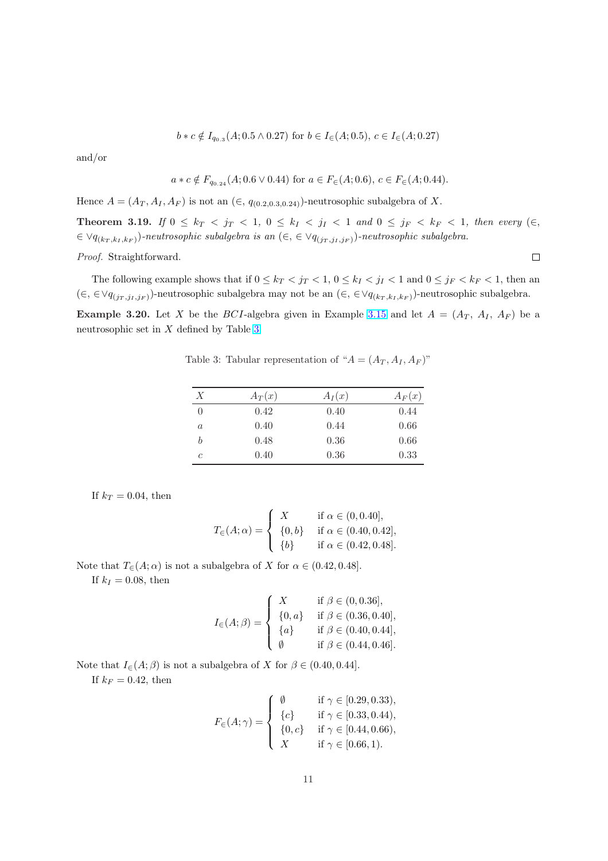$$
b * c \notin I_{q_{0.3}}(A; 0.5 \wedge 0.27)
$$
 for  $b \in I_{\in}(A; 0.5), c \in I_{\in}(A; 0.27)$ 

and/or

$$
a * c \notin F_{q_0,24}(A; 0.6 \vee 0.44)
$$
 for  $a \in F_{\in}(A; 0.6), c \in F_{\in}(A; 0.44)$ .

Hence  $A = (A_T, A_I, A_F)$  is not an  $(\in, q_{(0.2,0.3,0.24)})$ -neutrosophic subalgebra of X.

Theorem 3.19. If  $0 \leq k_T < j_T < 1$ ,  $0 \leq k_I < j_I < 1$  and  $0 \leq j_F < k_F < 1$ , then every  $(\in,$  $\forall q_{(k_T, k_I, k_F)}$ )-neutrosophic subalgebra is an  $(\in, \in \forall q_{(j_T, j_I, j_F)})$ -neutrosophic subalgebra.

Proof. Straightforward.

 $\Box$ 

The following example shows that if  $0 \leq k_T < j_T < 1$ ,  $0 \leq k_I < j_I < 1$  and  $0 \leq j_F < k_F < 1$ , then an  $(\in, \in \forall q_{(j_T, j_I, j_F)}$ -neutrosophic subalgebra may not be an  $(\in, \in \forall q_{(k_T, k_I, k_F)})$ -neutrosophic subalgebra.

Example 3.20. Let X be the BCI-algebra given in Example 3.15 and let  $A = (A_T, A_I, A_F)$  be a neutrosophic set in  $X$  defined by Table 3

| Х        | $A_T(x)$ | $A_I(x)$ | $A_F(x)$ |
|----------|----------|----------|----------|
| 0        | 0.42     | 0.40     | 0.44     |
| $\alpha$ | 0.40     | 0.44     | 0.66     |
| b        | 0.48     | 0.36     | 0.66     |
| с        | 0.40     | 0.36     | 0.33     |

Table 3: Tabular representation of " $A = (A_T, A_I, A_F)$  $A = (A_T, A_I, A_F)$ "

If  $k_T = 0.04$ , then

$$
T_{\in}(A; \alpha) = \begin{cases} X & \text{if } \alpha \in (0, 0.40], \\ \{0, b\} & \text{if } \alpha \in (0.40, 0.42], \\ \{b\} & \text{if } \alpha \in (0.42, 0.48]. \end{cases}
$$

Note that  $T_{\epsilon}(A; \alpha)$  is not a subalgebra of X for  $\alpha \in (0.42, 0.48]$ .

If  $k_I = 0.08$ , then

$$
I_{\in}(A; \beta) = \begin{cases} X & \text{if } \beta \in (0, 0.36], \\ \{0, a\} & \text{if } \beta \in (0.36, 0.40], \\ \{a\} & \text{if } \beta \in (0.40, 0.44], \\ \emptyset & \text{if } \beta \in (0.44, 0.46]. \end{cases}
$$

Note that  $I_{\in}(A;\beta)$  is not a subalgebra of X for  $\beta \in (0.40, 0.44]$ .

If  $k_F = 0.42$ , then

$$
F_{\in}(A; \gamma) = \begin{cases} \emptyset & \text{if } \gamma \in [0.29, 0.33), \\ \{c\} & \text{if } \gamma \in [0.33, 0.44), \\ \{0, c\} & \text{if } \gamma \in [0.44, 0.66), \\ X & \text{if } \gamma \in [0.66, 1). \end{cases}
$$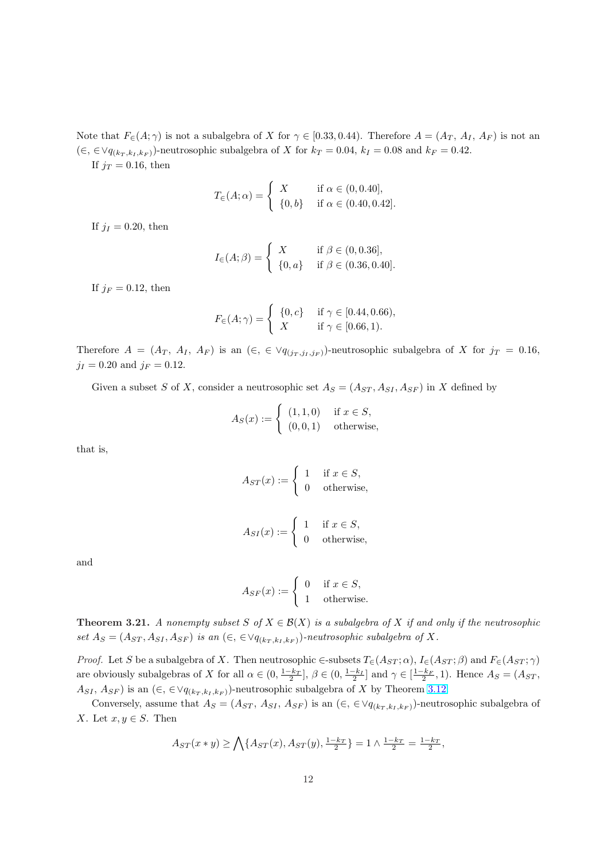Note that  $F_{\epsilon}(A;\gamma)$  is not a subalgebra of X for  $\gamma \in [0.33, 0.44)$ . Therefore  $A = (A_T, A_I, A_F)$  is not an  $(\in, \in \forall q_{(k_T, k_I, k_F)}$ -neutrosophic subalgebra of X for  $k_T = 0.04$ ,  $k_I = 0.08$  and  $k_F = 0.42$ .

If  $j_T = 0.16$ , then

$$
T_{\in}(A; \alpha) = \begin{cases} X & \text{if } \alpha \in (0, 0.40], \\ \{0, b\} & \text{if } \alpha \in (0.40, 0.42]. \end{cases}
$$

If  $j_I = 0.20$ , then

$$
I_{\in}(A; \beta) = \begin{cases} X & \text{if } \beta \in (0, 0.36], \\ \{0, a\} & \text{if } \beta \in (0.36, 0.40]. \end{cases}
$$

If  $j_F = 0.12$ , then

$$
F_{\in}(A; \gamma) = \begin{cases} \{0, c\} & \text{if } \gamma \in [0.44, 0.66), \\ X & \text{if } \gamma \in [0.66, 1). \end{cases}
$$

Therefore  $A = (A_T, A_I, A_F)$  is an  $(\in, \in \vee q_{(j_T, j_I, j_F)})$ -neutrosophic subalgebra of X for  $j_T = 0.16$ ,  $j_I = 0.20$  and  $j_F = 0.12$ .

Given a subset S of X, consider a neutrosophic set  $A_S = (A_{ST}, A_{SI}, A_{SF})$  in X defined by

$$
A_S(x) := \begin{cases} (1,1,0) & \text{if } x \in S, \\ (0,0,1) & \text{otherwise,} \end{cases}
$$

that is,

$$
A_{ST}(x) := \begin{cases} 1 & \text{if } x \in S, \\ 0 & \text{otherwise,} \end{cases}
$$
  

$$
A_{SI}(x) := \begin{cases} 1 & \text{if } x \in S, \\ 0 & \text{otherwise,} \end{cases}
$$

and

$$
A_{SF}(x) := \begin{cases} 0 & \text{if } x \in S, \\ 1 & \text{otherwise.} \end{cases}
$$

**Theorem 3.21.** A nonempty subset S of  $X \in \mathcal{B}(X)$  is a subalgebra of X if and only if the neutrosophic set  $A_S = (A_{ST}, A_{SI}, A_{SF})$  is an  $(\in, \in \forall q_{(k_T, k_I, k_F)})$ -neutrosophic subalgebra of X.

*Proof.* Let S be a subalgebra of X. Then neutrosophic  $\in$ -subsets  $T_{\infty}(A_{ST}; \alpha)$ ,  $I_{\infty}(A_{ST}; \beta)$  and  $F_{\infty}(A_{ST}; \gamma)$ are obviously subalgebras of X for all  $\alpha \in (0, \frac{1-k_T}{2}], \beta \in (0, \frac{1-k_I}{2}]$  and  $\gamma \in [\frac{1-k_F}{2}, 1]$ . Hence  $A_S = (A_{ST},$  $A_{SI}$ ,  $A_{SF}$ ) is an  $(\in, \in \vee q_{(k_T, k_I, k_F)})$ -neutrosophic subalgebra of X by Theorem 3.12.

Conversely, assume that  $A_S = (A_{ST}, A_{SI}, A_{SF})$  is an  $(\in, \in \forall q_{(k_T, k_I, k_F)})$ -neutrosophic subalgebra of X. Let  $x, y \in S$ . Then

$$
A_{ST}(x * y) \ge \bigwedge \{A_{ST}(x), A_{ST}(y), \frac{1-k_T}{2}\} = 1 \wedge \frac{1-k_T}{2} = \frac{1-k_T}{2},
$$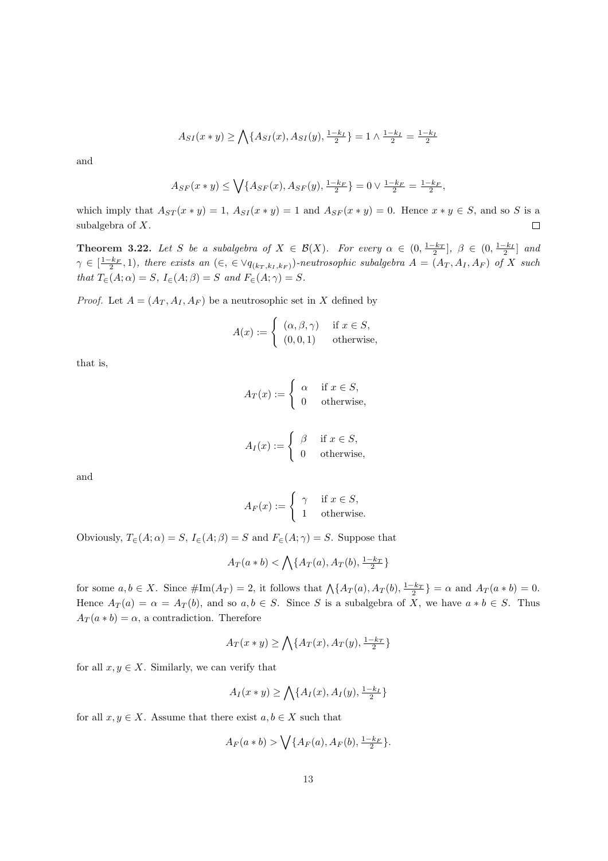$$
A_{SI}(x*y) \ge \bigwedge \{A_{SI}(x), A_{SI}(y), \frac{1-k_I}{2} \} = 1 \wedge \frac{1-k_I}{2} = \frac{1-k_I}{2}
$$

<span id="page-12-0"></span>and

$$
A_{SF}(x * y) \le \bigvee \{A_{SF}(x), A_{SF}(y), \frac{1 - k_F}{2}\} = 0 \vee \frac{1 - k_F}{2} = \frac{1 - k_F}{2},
$$

which imply that  $A_{ST}(x * y) = 1$ ,  $A_{SI}(x * y) = 1$  and  $A_{SF}(x * y) = 0$ . Hence  $x * y \in S$ , and so S is a subalgebra of X.  $\Box$ 

**Theorem 3.22.** Let S be a subalgebra of  $X \in \mathcal{B}(X)$ . For every  $\alpha \in (0, \frac{1-k_T}{2}], \ \beta \in (0, \frac{1-k_I}{2}]$  and  $\gamma \in \left[\frac{1-k_F}{2}, 1\right)$ , there exists an  $(\in, \in \vee q_{(k_T, k_I, k_F)})$ -neutrosophic subalgebra  $A = (A_T, A_I, A_F)$  of X such that  $T_{\in}(A; \alpha) = S$ ,  $I_{\in}(A; \beta) = S$  and  $F_{\in}(A; \gamma) = S$ .

*Proof.* Let  $A = (A_T, A_I, A_F)$  be a neutrosophic set in X defined by

$$
A(x) := \begin{cases} (\alpha, \beta, \gamma) & \text{if } x \in S, \\ (0, 0, 1) & \text{otherwise,} \end{cases}
$$

that is,

$$
A_T(x) := \begin{cases} \alpha & \text{if } x \in S, \\ 0 & \text{otherwise,} \end{cases}
$$
  

$$
A_I(x) := \begin{cases} \beta & \text{if } x \in S, \\ 0 & \text{otherwise,} \end{cases}
$$

and

$$
A_F(x) := \begin{cases} \gamma & \text{if } x \in S, \\ 1 & \text{otherwise.} \end{cases}
$$

Obviously,  $T_{\in}(A; \alpha) = S$ ,  $I_{\in}(A; \beta) = S$  and  $F_{\in}(A; \gamma) = S$ . Suppose that

$$
A_T(a*b) < \bigwedge \{A_T(a), A_T(b), \frac{1-k_T}{2}\}
$$

for some  $a, b \in X$ . Since  $\#\text{Im}(A_T) = 2$ , it follows that  $\bigwedge \{A_T(a), A_T(b), \frac{1-k_T}{2}\} = \alpha$  and  $A_T(a * b) = 0$ . Hence  $A_T(a) = \alpha = A_T(b)$ , and so  $a, b \in S$ . Since S is a subalgebra of X, we have  $a * b \in S$ . Thus  $A_T(a * b) = \alpha$ , a contradiction. Therefore

$$
A_T(x*y) \ge \bigwedge \{A_T(x), A_T(y), \frac{1-k_T}{2}\}
$$

for all  $x, y \in X$ . Similarly, we can verify that

$$
A_I(x*y) \ge \bigwedge \{A_I(x), A_I(y), \frac{1-k_I}{2}\}
$$

for all  $x, y \in X$ . Assume that there exist  $a, b \in X$  such that

$$
A_F(a * b) > \bigvee \{A_F(a), A_F(b), \frac{1 - k_F}{2}\}.
$$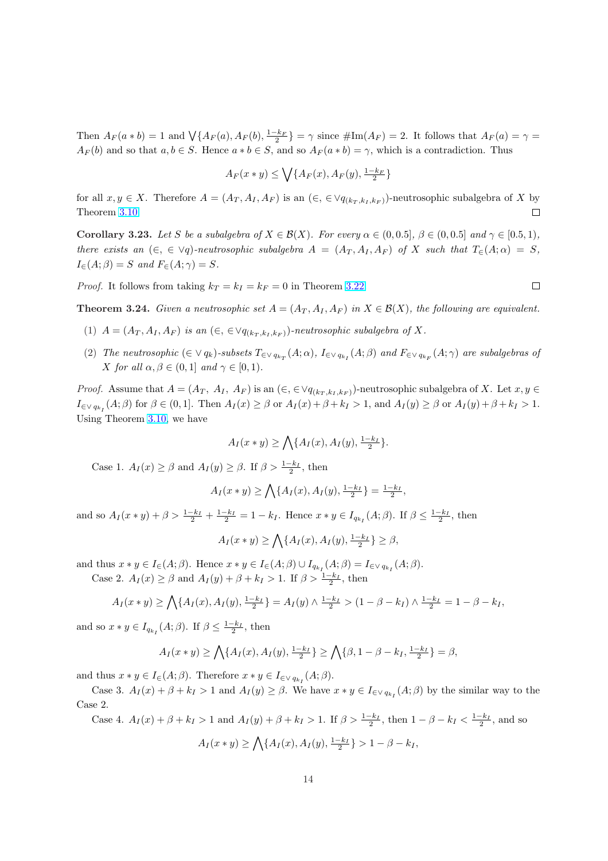Then  $A_F(a * b) = 1$  and  $\bigvee \{A_F(a), A_F(b), \frac{1-k_F}{2} \} = \gamma$  since  $\#\text{Im}(A_F) = 2$ . It follows that  $A_F(a) = \gamma =$  $A_F(b)$  and so that  $a, b \in S$ . Hence  $a * b \in S$ , and so  $A_F(a * b) = \gamma$ , which is a contradiction. Thus

$$
A_F(x*y) \le \bigvee \{A_F(x), A_F(y), \frac{1-k_F}{2}\}
$$

for all  $x, y \in X$ . Therefore  $A = (A_T, A_I, A_F)$  is an  $(\epsilon, \epsilon \vee q_{(k_T, k_I, k_F)})$ -neutrosophic subalgebra of X by Theorem 3.10.  $\Box$ 

Corollary 3.23. Let S be a subalgebra of  $X \in \mathcal{B}(X)$ . For every  $\alpha \in (0, 0.5]$ ,  $\beta \in (0, 0.5]$  and  $\gamma \in [0.5, 1)$ , there exists an  $(\epsilon, \epsilon \vee q)$ -neutrosophic subalgebra  $A = (A_T, A_T, A_F)$  of X such that  $T_{\epsilon}(A; \alpha) = S$ ,  $I_{\in}(A;\beta) = S$  $I_{\in}(A;\beta) = S$  and  $F_{\in}(A;\gamma) = S$ .

*Proof.* It follows from taking  $k_T = k_I = k_F = 0$  in Theorem 3.22.

**Theorem 3.24.** Given a neutrosophic set  $A = (A_T, A_I, A_F)$  in  $X \in \mathcal{B}(X)$ , the following are equivalent.

- (1)  $A = (A_T, A_I, A_F)$  is an  $(\epsilon, \epsilon \vee q_{(k_T, k_I, k_F)})$ -neutrosophi[c sub](#page-12-0)algebra of X.
- (2) The neutrosophic  $(\in \vee q_k)$ -subsets  $T_{\in \vee q_{k_T}}(A; \alpha)$ ,  $I_{\in \vee q_{k_T}}(A; \beta)$  and  $F_{\in \vee q_{k_F}}(A; \gamma)$  are subalgebras of X for all  $\alpha, \beta \in (0,1]$  and  $\gamma \in [0,1)$ .

*Proof.* Assume that  $A = (A_T, A_I, A_F)$  is an  $(\epsilon, \epsilon \vee q_{(k_T, k_I, k_F)})$ -neutrosophic subalgebra of X. Let  $x, y \in$  $I_{\in \vee q_{k_I}}(A;\beta)$  for  $\beta \in (0,1]$ . Then  $A_I(x) \geq \beta$  or  $A_I(x) + \beta + k_I > 1$ , and  $A_I(y) \geq \beta$  or  $A_I(y) + \beta + k_I > 1$ . Using Theorem 3.10, we have

$$
A_I(x * y) \ge \bigwedge \{A_I(x), A_I(y), \frac{1 - k_I}{2}\}.
$$

Case 1.  $A_I(x) \geq \beta$  and  $A_I(y) \geq \beta$ . If  $\beta > \frac{1-k_I}{2}$ , then

$$
A_I(x * y) \ge \bigwedge \{A_I(x), A_I(y), \frac{1 - k_I}{2}\} = \frac{1 - k_I}{2},
$$

and so  $A_I(x * y) + \beta > \frac{1 - k_I}{2} + \frac{1 - k_I}{2} = 1 - k_I$ . Hence  $x * y \in I_{q_{k_I}}(A; \beta)$ . If  $\beta \leq \frac{1 - k_I}{2}$ , then

$$
A_I(x*y) \ge \bigwedge \{A_I(x), A_I(y), \frac{1-k_I}{2}\} \ge \beta,
$$

and thus  $x * y \in I_{\in}(A;\beta)$ . Hence  $x * y \in I_{\in}(A;\beta) \cup I_{q_{k}}(A;\beta) = I_{\in \vee q_{k}}(A;\beta)$ .

Case 2.  $A_I(x) \ge \beta$  and  $A_I(y) + \beta + k_I > 1$ . If  $\beta > \frac{1-k_I}{2}$ , then

$$
A_I(x * y) \ge \bigwedge \{A_I(x), A_I(y), \frac{1 - k_I}{2}\} = A_I(y) \wedge \frac{1 - k_I}{2} > (1 - \beta - k_I) \wedge \frac{1 - k_I}{2} = 1 - \beta - k_I,
$$

and so  $x * y \in I_{q_{k_I}}(A;\beta)$ . If  $\beta \leq \frac{1-k_I}{2}$ , then

$$
A_I(x * y) \ge \bigwedge \{ A_I(x), A_I(y), \frac{1 - k_I}{2} \} \ge \bigwedge \{ \beta, 1 - \beta - k_I, \frac{1 - k_I}{2} \} = \beta,
$$

and thus  $x * y \in I_{\in}(A; \beta)$ . Therefore  $x * y \in I_{\in \vee q_{k_I}}(A; \beta)$ .

Case 3.  $A_I(x) + \beta + k_I > 1$  and  $A_I(y) \geq \beta$ . We have  $x * y \in I_{\epsilon \vee q_{k_I}}(A; \beta)$  by the similar way to the Case 2.

Case 4.  $A_I(x) + \beta + k_I > 1$  and  $A_I(y) + \beta + k_I > 1$ . If  $\beta > \frac{1-k_I}{2}$ , then  $1 - \beta - k_I < \frac{1-k_I}{2}$ , and so

$$
A_I(x * y) \ge \bigwedge \{ A_I(x), A_I(y), \frac{1 - k_I}{2} \} > 1 - \beta - k_I,
$$

$$
\qquad \qquad \Box
$$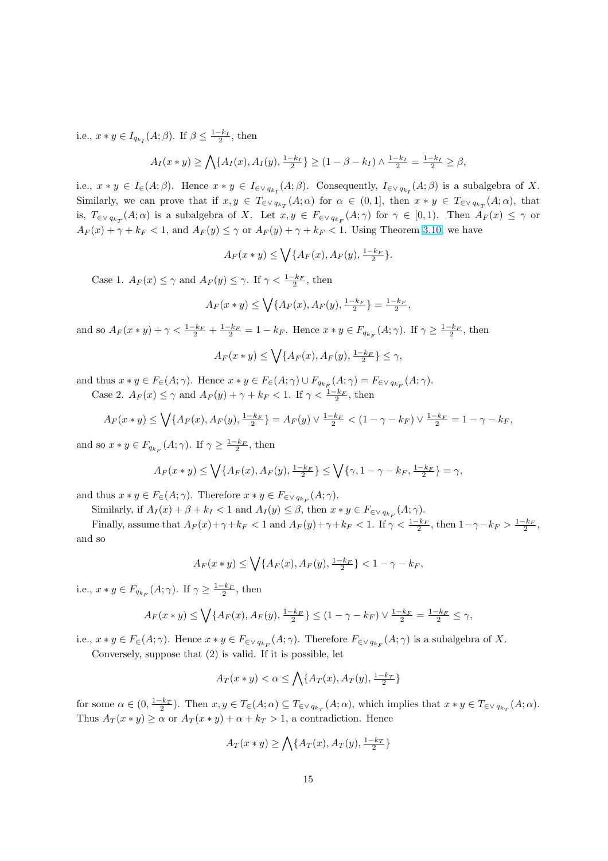i.e.,  $x * y \in I_{q_{k_l}}(A;\beta)$ . If  $\beta \leq \frac{1-k_l}{2}$ , then

$$
A_I(x * y) \ge \bigwedge \{ A_I(x), A_I(y), \frac{1 - k_I}{2} \} \ge (1 - \beta - k_I) \wedge \frac{1 - k_I}{2} = \frac{1 - k_I}{2} \ge \beta,
$$

i.e.,  $x * y \in I_{\in}(A;\beta)$ . Hence  $x * y \in I_{\in \vee q_{k_I}}(A;\beta)$ . Consequently,  $I_{\in \vee q_{k_I}}(A;\beta)$  is a subalgebra of X. Similarly, we can prove that if  $x, y \in T_{\in \vee q_{k_T}}(A; \alpha)$  for  $\alpha \in (0, 1]$ , then  $x * y \in T_{\in \vee q_{k_T}}(A; \alpha)$ , that is,  $T_{\in \vee q_{k_T}}(A;\alpha)$  is a subalgebra of X. Let  $x,y \in F_{\in \vee q_{k_F}}(A;\gamma)$  for  $\gamma \in [0,1)$ . Then  $A_F(x) \leq \gamma$  or  $A_F(x) + \gamma + k_F < 1$ , and  $A_F(y) \leq \gamma$  or  $A_F(y) + \gamma + k_F < 1$ . Using Theorem 3.10, we have

$$
A_F(x * y) \le \bigvee \{A_F(x), A_F(y), \frac{1-k_F}{2}\}.
$$

Case 1.  $A_F(x) \leq \gamma$  and  $A_F(y) \leq \gamma$ . If  $\gamma < \frac{1-k_F}{2}$ , then

$$
A_F(x * y) \le \bigvee \{A_F(x), A_F(y), \frac{1-k_F}{2}\} = \frac{1-k_F}{2},
$$

and so  $A_F(x * y) + \gamma < \frac{1 - k_F}{2} + \frac{1 - k_F}{2} = 1 - k_F$ . Hence  $x * y \in F_{q_{k_F}}(A; \gamma)$ . If  $\gamma \ge \frac{1 - k_F}{2}$ , then

$$
A_F(x*y)\leq \bigvee\{A_F(x),A_F(y),\tfrac{1-k_F}{2}\}\leq \gamma,
$$

and thus  $x * y \in F_{\in}(A; \gamma)$ . Hence  $x * y \in F_{\in}(A; \gamma) \cup F_{q_{k_F}}(A; \gamma) = F_{\in \vee q_{k_F}}(A; \gamma)$ .

Case 2.  $A_F(x) \leq \gamma$  and  $A_F(y) + \gamma + k_F < 1$ . If  $\gamma < \frac{1-k_F}{2}$ , then

$$
A_F(x*y) \le \bigvee \{A_F(x), A_F(y), \frac{1-k_F}{2}\} = A_F(y) \vee \frac{1-k_F}{2} < (1 - \gamma - k_F) \vee \frac{1-k_F}{2} = 1 - \gamma - k_F,
$$

and so  $x * y \in F_{q_{k_F}}(A; \gamma)$ . If  $\gamma \geq \frac{1-k_F}{2}$ , then

$$
A_F(x * y) \le \bigvee \{ A_F(x), A_F(y), \frac{1 - k_F}{2} \} \le \bigvee \{ \gamma, 1 - \gamma - k_F, \frac{1 - k_F}{2} \} = \gamma,
$$

and thus  $x * y \in F_{\in}(A; \gamma)$ . Therefore  $x * y \in F_{\in \vee q_{k_F}}(A; \gamma)$ .

Similarly, if  $A_I(x) + \beta + k_I < 1$  and  $A_I(y) \leq \beta$ , then  $x * y \in F_{\epsilon \vee q_{k_F}}(A; \gamma)$ .

Finally, assume that  $A_F(x)+\gamma+k_F < 1$  and  $A_F(y)+\gamma+k_F < 1$ . If  $\gamma < \frac{1-k_F}{2}$ , then  $1-\gamma-k_F > \frac{1-k_F}{2}$ , and so

$$
A_F(x * y) \le \bigvee \{ A_F(x), A_F(y), \frac{1 - k_F}{2} \} < 1 - \gamma - k_F,
$$

i.e.,  $x * y \in F_{q_{k_F}}(A; \gamma)$ . If  $\gamma \geq \frac{1 - k_F}{2}$ , then

$$
A_F(x * y) \le \bigvee \{ A_F(x), A_F(y), \frac{1 - k_F}{2} \} \le (1 - \gamma - k_F) \vee \frac{1 - k_F}{2} = \frac{1 - k_F}{2} \le \gamma,
$$

i.e.,  $x * y \in F_{\in}(A; \gamma)$ . Hence  $x * y \in F_{\in \vee q_{k_F}}(A; \gamma)$ . Therefore  $F_{\in \vee q_{k_F}}(A; \gamma)$  is a subalgebra of X.

Conversely, suppose that (2) is valid. If it is possible, let

$$
A_T(x*y) < \alpha \le \bigwedge \{A_T(x), A_T(y), \frac{1-k_T}{2}\}
$$

for some  $\alpha \in (0, \frac{1-k_T}{2})$ . Then  $x, y \in T_{\infty}(A; \alpha) \subseteq T_{\infty q_{k_T}}(A; \alpha)$ , which implies that  $x * y \in T_{\infty q_{k_T}}(A; \alpha)$ . Thus  $A_T(x * y) \ge \alpha$  or  $A_T(x * y) + \alpha + k_T > 1$ , a contradiction. Hence

$$
A_T(x * y) \ge \bigwedge \{A_T(x), A_T(y), \frac{1 - k_T}{2}\}
$$